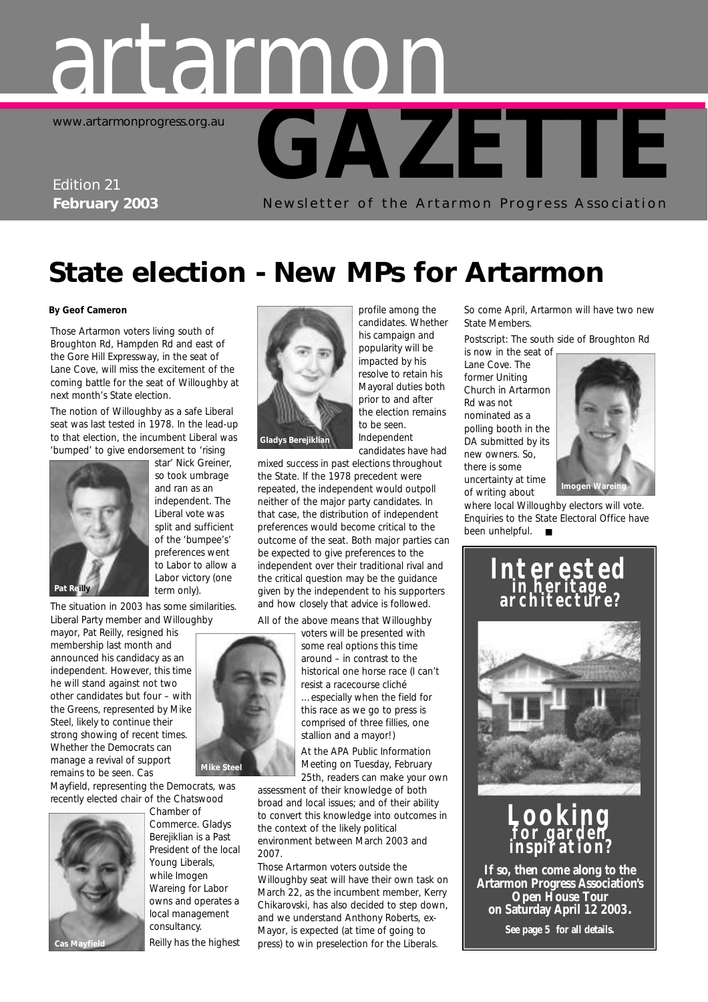# **GAZETTE** artarmon www.artarmonprogress.org.au

# Edition 21

**February 2003** Newsletter of the Artarmon Progress Association

# **State election - New MPs for Artarmon**

#### **By Geof Cameron**

Those Artarmon voters living south of Broughton Rd, Hampden Rd and east of the Gore Hill Expressway, in the seat of Lane Cove, will miss the excitement of the coming battle for the seat of Willoughby at next month's State election.

The notion of Willoughby as a safe Liberal seat was last tested in 1978. In the lead-up to that election, the incumbent Liberal was 'bumped' to give endorsement to 'rising



star' Nick Greiner, so took umbrage and ran as an independent. The Liberal vote was split and sufficient of the 'bumpee's' preferences went to Labor to allow a Labor victory (one term only).

The situation in 2003 has some similarities. Liberal Party member and Willoughby

mayor, Pat Reilly, resigned his membership last month and announced his candidacy as an independent. However, this time he will stand against not two other candidates but four – with the Greens, represented by Mike Steel, likely to continue their strong showing of recent times. Whether the Democrats can manage a revival of support remains to be seen. Cas

Mayfield, representing the Democrats, was recently elected chair of the Chatswood



Chamber of Commerce. Gladys Berejiklian is a Past President of the local owns and operates a Reilly has the highest



candidates. Whether his campaign and popularity will be impacted by his resolve to retain his Mayoral duties both prior to and after the election remains to be seen. Independent candidates have had

profile among the

mixed success in past elections throughout the State. If the 1978 precedent were repeated, the independent would outpoll neither of the major party candidates. In that case, the distribution of independent preferences would become critical to the outcome of the seat. Both major parties can be expected to give preferences to the independent over their traditional rival and the critical question may be the guidance given by the independent to his supporters and how closely that advice is followed.

All of the above means that Willoughby



voters will be presented with some real options this time around – in contrast to the historical one horse race (I can't resist a racecourse cliché

…especially when the field for this race as we go to press is comprised of three fillies, one stallion and a mayor!)

At the APA Public Information Meeting on Tuesday, February 25th, readers can make your own

assessment of their knowledge of both broad and local issues; and of their ability to convert this knowledge into outcomes in the context of the likely political environment between March 2003 and 2007.

Those Artarmon voters outside the Willoughby seat will have their own task on March 22, as the incumbent member, Kerry Chikarovski, has also decided to step down, and we understand Anthony Roberts, ex-Mayor, is expected (at time of going to press) to win preselection for the Liberals.

So come April, Artarmon will have two new State Members.

*Postscript*: The south side of Broughton Rd is now in the seat of

Lane Cove. The former Uniting Church in Artarmon Rd was not nominated as a polling booth in the DA submitted by its new owners. So, there is some uncertainty at time of writing about



where local Willoughby electors will vote. Enquiries to the State Electoral Office have been unhelpful. ■

### **Interested in heritage architecture?**



### **Looking for garden inspiration?**

**If so, then come along to the Artarmon Progress Association's Open House Tour on Saturday April 12 2003. See page 5 for all details.**

Young Liberals, while Imogen Wareing for Labor local management consultancy.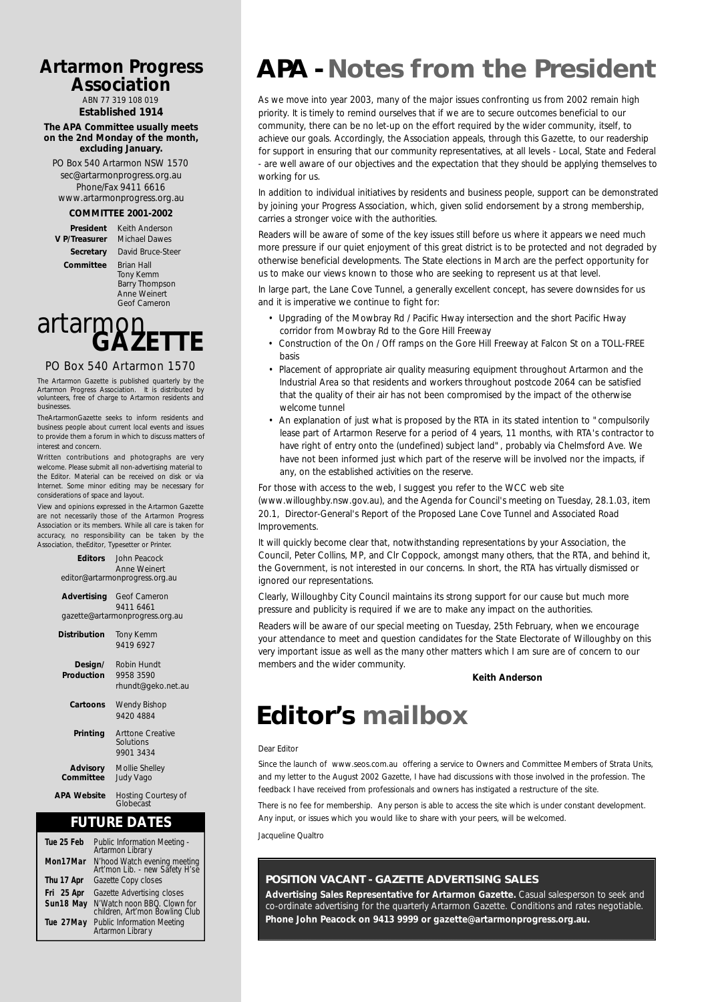### **Artarmon Progress Association**

ABN 77 319 108 019

**Established 1914**

#### **The APA Committee usually meets on the 2nd Monday of the month, excluding January.**

PO Box 540 Artarmon NSW 1570 sec@artarmonprogress.org.au. Phone/Fax 9411 6616 www.artarmonprogress.org.au

#### **COMMITTEE 2001-2002**

**V P/Treasurer** 

**President** Keith Anderson<br>Treasurer Michael Dawes **Secretary** David Bruce-Steer **Committee** Brian Hall Tony Kemm Barry Thompson Anne Weinert Geof Cameron

# artarmon<sub>E</sub>

#### PO Box 540 Artarmon 1570

The Artarmon Gazette is published quarterly by the Artarmon Progress Association. It is distributed by volunteers, free of charge to Artarmon residents and businesses.

TheArtarmonGazette seeks to inform residents and business people about current local events and issues to provide them a forum in which to discuss matters of interest and concern.

Written contributions and photographs are very welcome. Please submit all non-advertising material to the Editor. Material can be received on disk or via Internet. Some minor editing may be necessary for considerations of space and layout.

View and opinions expressed in the Artarmon Gazette are not necessarily those of the Artarmon Progress Association or its members. While all care is taken for accuracy, no responsibility can be taken by the Association, theEditor, Typesetter or Printer.

**APA Website** Hosting Courtesy of Globecast

### **FUTURE DATES**

| Tue 25 Feb | Public Information Meeting -<br>Artarmon Librar y              |
|------------|----------------------------------------------------------------|
| Mon17Mar   | N'hood Watch evening meeting<br>Art'mon Lib. - new Safety H'se |
| Thu 17 Apr | Gazette Copy closes                                            |
| Fri 25 Apr | Gazette Advertising closes                                     |
| Sun18 May  | N'Watch noon BBQ. Clown for<br>children, Art'mon Bowling Club  |
| Tue 27May  | <b>Public Information Meeting</b><br>Artarmon Librar y         |

# **APA - Notes from the President**

As we move into year 2003, many of the major issues confronting us from 2002 remain high priority. It is timely to remind ourselves that if we are to secure outcomes beneficial to our community, there can be no let-up on the effort required by the wider community, itself, to achieve our goals. Accordingly, the Association appeals, through this Gazette, to our readership for support in ensuring that our community representatives, at all levels - Local, State and Federal - are well aware of our objectives and the expectation that they should be applying themselves to working for us.

In addition to individual initiatives by residents and business people, support can be demonstrated by joining your Progress Association, which, given solid endorsement by a strong membership, carries a stronger voice with the authorities.

Readers will be aware of some of the key issues still before us where it appears we need much more pressure if our quiet enjoyment of this great district is to be protected and not degraded by otherwise beneficial developments. The State elections in March are the perfect opportunity for us to make our views known to those who are seeking to represent us at that level.

In large part, the Lane Cove Tunnel, a generally excellent concept, has severe downsides for us and it is imperative we continue to fight for:

- Upgrading of the Mowbray Rd / Pacific Hway intersection and the short Pacific Hway corridor from Mowbray Rd to the Gore Hill Freeway
- Construction of the On / Off ramps on the Gore Hill Freeway at Falcon St on a TOLL-FREE basis
- Placement of appropriate air quality measuring equipment throughout Artarmon and the Industrial Area so that residents and workers throughout postcode 2064 can be satisfied that the quality of their air has not been compromised by the impact of the otherwise welcome tunnel
- An explanation of just what is proposed by the RTA in its stated intention to "compulsorily lease part of Artarmon Reserve for a period of 4 years, 11 months, with RTA's contractor to have right of entry onto the (undefined) subject land", probably via Chelmsford Ave. We have not been informed just which part of the reserve will be involved nor the impacts, if any, on the established activities on the reserve.

For those with access to the web, I suggest you refer to the WCC web site

(www.willoughby.nsw.gov.au), and the Agenda for Council's meeting on Tuesday, 28.1.03, item 20.1, Director-General's Report of the Proposed Lane Cove Tunnel and Associated Road Improvements.

It will quickly become clear that, notwithstanding representations by your Association, the Council, Peter Collins, MP, and Clr Coppock, amongst many others, that the RTA, and behind it, the Government, is not interested in our concerns. In short, the RTA has virtually dismissed or ignored our representations.

Clearly, Willoughby City Council maintains its strong support for our cause but much more pressure and publicity is required if we are to make any impact on the authorities.

Readers will be aware of our special meeting on Tuesday, 25th February, when we encourage your attendance to meet and question candidates for the State Electorate of Willoughby on this very important issue as well as the many other matters which I am sure are of concern to our members and the wider community.

#### **Keith Anderson**

# **Editor's mailbox**

#### *Dear Editor*

*Since the launch of www.seos.com.au offering a service to Owners and Committee Members of Strata Units, and my letter to the August 2002 Gazette, I have had discussions with those involved in the profession. The feedback I have received from professionals and owners has instigated a restructure of the site.*

*There is no fee for membership. Any person is able to access the site which is under constant development. Any input, or issues which you would like to share with your peers, will be welcomed.*

*Jacqueline Qualtro*

#### **POSITION VACANT - GAZETTE ADVERTISING SALES**

**Advertising Sales Representative for Artarmon Gazette.** Casual salesperson to seek and co-ordinate advertising for the quarterly Artarmon Gazette. Conditions and rates negotiable. **Phone John Peacock on 9413 9999 or gazette@artarmonprogress.org.au.**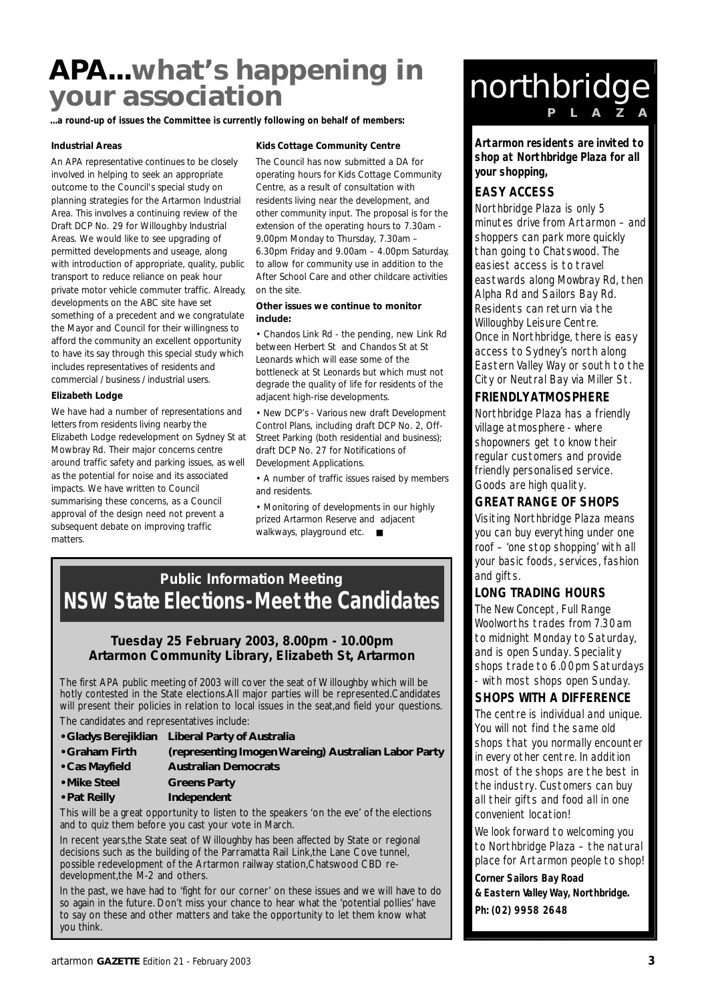# **APA...what's happening in your association**

...a round-up of issues the Committee is currently following on behalf of members:

#### **Industrial Areas**

An APA representative continues to be closely involved in helping to seek an appropriate outcome to the Council's special study on planning strategies for the Artarmon Industrial Area. This involves a continuing review of the Draft DCP No. 29 for Willoughby Industrial Areas. We would like to see upgrading of permitted developments and useage, along with introduction of appropriate, quality, public transport to reduce reliance on peak hour private motor vehicle commuter traffic. Already, developments on the ABC site have set something of a precedent and we congratulate the Mayor and Council for their willingness to afford the community an excellent opportunity to have its say through this special study which includes representatives of residents and commercial / business / industrial users.

#### **Elizabeth Lodge**

We have had a number of representations and letters from residents living nearby the Elizabeth Lodge redevelopment on Sydney St at Mowbray Rd. Their major concerns centre around traffic safety and parking issues, as well as the potential for noise and its associated impacts. We have written to Council summarising these concerns, as a Council approval of the design need not prevent a subsequent debate on improving traffic matters.

#### **Kids Cottage Community Centre**

The Council has now submitted a DA for operating hours for Kids Cottage Community Centre, as a result of consultation with residents living near the development, and other community input. The proposal is for the extension of the operating hours to 7.30am - 9.00pm Monday to Thursday, 7.30am – 6.30pm Friday and 9.00am – 4.00pm Saturday, to allow for community use in addition to the After School Care and other childcare activities on the site.

#### **Other issues we continue to monitor include:**

• Chandos Link Rd - the pending, new Link Rd between Herbert St and Chandos St at St Leonards which will ease some of the bottleneck at St Leonards but which must not degrade the quality of life for residents of the adjacent high-rise developments.

• New DCP's - Various new draft Development Control Plans, including draft DCP No. 2, Off-Street Parking (both residential and business); draft DCP No. 27 for Notifications of Development Applications.

• A number of traffic issues raised by members and residents.

• Monitoring of developments in our highly prized Artarmon Reserve and adjacent walkways, playground etc. ■

### **Public Information Meeting NSW State Elections-Meet the Candidates**

#### **Tuesday 25 February 2003, 8.00pm - 10.00pm Artarmon Community Library, Elizabeth St, Artarmon**

The first APA public meeting of 2003 will cover the seat of Willoughby which will be hotly contested in the State elections.All major parties will be represented.Candidates will present their policies in relation to local issues in the seat,and field your questions.

The candidates and representatives include:

- **Gladys Berejiklian Liberal Party of Australia**
- **Graham Firth (representing Imogen Wareing) Australian Labor Party**
- **Cas Mayfield Australian Democrats**
- **Mike Steel Greens Party**
- **Pat Reilly Independent**

This will be a great opportunity to listen to the speakers 'on the eve' of the elections and to quiz them before you cast your vote in March.

In recent years,the State seat of Willoughby has been affected by State or regional decisions such as the building of the Parramatta Rail Link,the Lane Cove tunnel, possible redevelopment of the Artarmon railway station,Chatswood CBD redevelopment,the M-2 and others.

In the past, we have had to 'fight for our corner' on these issues and we will have to do so again in the future. Don't miss your chance to hear what the 'potential pollies' have to say on these and other matters and take the opportunity to let them know what you think.

# northbridge

**Artarmon residents are invited to shop at Northbridge Plaza for all your shopping,**

### **EASY ACCESS**

Northbridge Plaza is only 5 minutes drive from Artarmon – and shoppers can park more quickly than going to Chatswood. The easiest access is to travel eastwards along Mowbray Rd, then Alpha Rd and Sailors Bay Rd. Residents can return via the Willoughby Leisure Centre. Once in Northbridge, there is easy access to Sydney's north along Eastern Valley Way or south to the City or Neutral Bay via Miller St.

### **FRIENDLY ATMOSPHERE**

Northbridge Plaza has a friendly village atmosphere - where shopowners get to know their regular customers and provide friendly personalised service. Goods are high quality.

### **GREAT RANGE OF SHOPS**

Visiting Northbridge Plaza means you can buy everything under one roof – 'one stop shopping' with all your basic foods, services, fashion and gifts.

### **LONG TRADING HOURS**

The New Concept, Full Range Woolworths trades from 7.30am to midnight Monday to Saturday, and is open Sunday. Speciality shops trade to 6.00pm Saturdays with most shops open Sunday.

### **SHOPS WITH A DIFFERENCE**

The centre is individual and unique. You will not find the same old shops that you normally encounter in every other centre. In addition most of the shops are the best in the industry. Customers can buy all their gifts and food all in one convenient location!

We look forward to welcoming you to Northbridge Plaza – the natural place for Artarmon people to shop!

**Corner Sailors Bay Road & Eastern Valley Way, Northbridge. Ph: (02) 9958 2648**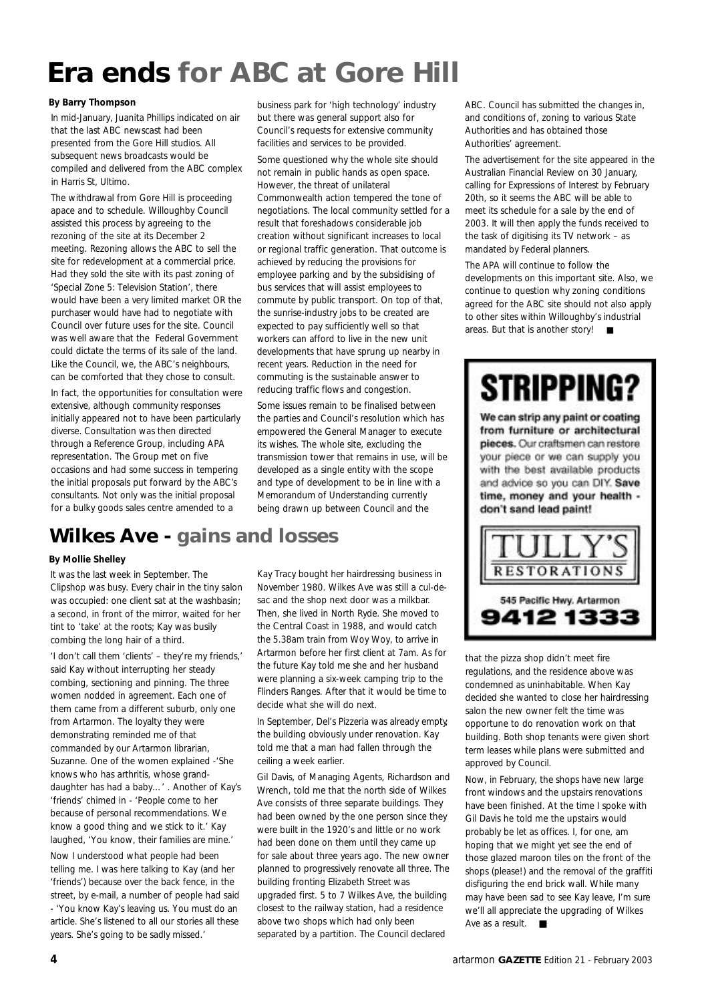# **Era ends for ABC at Gore Hill**

#### **By Barry Thompson**

In mid-January, Juanita Phillips indicated on air that the last ABC newscast had been presented from the Gore Hill studios. All subsequent news broadcasts would be compiled and delivered from the ABC complex in Harris St, Ultimo.

The withdrawal from Gore Hill is proceeding apace and to schedule. Willoughby Council assisted this process by agreeing to the rezoning of the site at its December 2 meeting. Rezoning allows the ABC to sell the site for redevelopment at a commercial price. Had they sold the site with its past zoning of 'Special Zone 5: Television Station', there would have been a very limited market OR the purchaser would have had to negotiate with Council over future uses for the site. Council was well aware that the Federal Government could dictate the terms of its sale of the land. Like the Council, we, the ABC's neighbours, can be comforted that they chose to consult.

In fact, the opportunities for consultation were extensive, although community responses initially appeared not to have been particularly diverse. Consultation was then directed through a Reference Group, including APA representation. The Group met on five occasions and had some success in tempering the initial proposals put forward by the ABC's consultants. Not only was the initial proposal for a bulky goods sales centre amended to a

business park for 'high technology' industry but there was general support also for Council's requests for extensive community facilities and services to be provided.

Some questioned why the whole site should not remain in public hands as open space. However, the threat of unilateral Commonwealth action tempered the tone of negotiations. The local community settled for a result that foreshadows considerable job creation without significant increases to local or regional traffic generation. That outcome is achieved by reducing the provisions for employee parking and by the subsidising of bus services that will assist employees to commute by public transport. On top of that, the sunrise-industry jobs to be created are expected to pay sufficiently well so that workers can afford to live in the new unit developments that have sprung up nearby in recent years. Reduction in the need for commuting is the sustainable answer to reducing traffic flows and congestion.

Some issues remain to be finalised between the parties and Council's resolution which has empowered the General Manager to execute its wishes. The whole site, excluding the transmission tower that remains in use, will be developed as a single entity with the scope and type of development to be in line with a Memorandum of Understanding currently being drawn up between Council and the

## **Wilkes Ave - gains and losses**

#### **By Mollie Shelley**

It was the last week in September. The Clipshop was busy. Every chair in the tiny salon was occupied: one client sat at the washbasin; a second, in front of the mirror, waited for her tint to 'take' at the roots; Kay was busily combing the long hair of a third.

'I don't call them 'clients' – they're my friends,' said Kay without interrupting her steady combing, sectioning and pinning. The three women nodded in agreement. Each one of them came from a different suburb, only one from Artarmon. The loyalty they were demonstrating reminded me of that commanded by our Artarmon librarian, Suzanne. One of the women explained -'She knows who has arthritis, whose granddaughter has had a baby…' . Another of Kay's 'friends' chimed in - 'People come to her because of personal recommendations. We know a good thing and we stick to it.' Kay laughed, 'You know, their families are mine.' Now I understood what people had been

telling me. I was here talking to Kay (and her 'friends') because over the back fence, in the street, by e-mail, a number of people had said - 'You know Kay's leaving us. You must do an article. She's listened to all our stories all these years. She's going to be sadly missed.'

Kay Tracy bought her hairdressing business in November 1980. Wilkes Ave was still a cul-desac and the shop next door was a milkbar. Then, she lived in North Ryde. She moved to the Central Coast in 1988, and would catch the 5.38am train from Woy Woy, to arrive in Artarmon before her first client at 7am. As for the future Kay told me she and her husband were planning a six-week camping trip to the Flinders Ranges. After that it would be time to decide what she will do next.

In September, Del's Pizzeria was already empty, the building obviously under renovation. Kay told me that a man had fallen through the ceiling a week earlier.

Gil Davis, of Managing Agents, Richardson and Wrench, told me that the north side of Wilkes Ave consists of three separate buildings. They had been owned by the one person since they were built in the 1920's and little or no work had been done on them until they came up for sale about three years ago. The new owner planned to progressively renovate all three. The building fronting Elizabeth Street was upgraded first. 5 to 7 Wilkes Ave, the building closest to the railway station, had a residence above two shops which had only been separated by a partition. The Council declared

ABC. Council has submitted the changes in, and conditions of, zoning to various State Authorities and has obtained those Authorities' agreement.

The advertisement for the site appeared in the Australian Financial Review on 30 January, calling for Expressions of Interest by February 20th, so it seems the ABC will be able to meet its schedule for a sale by the end of 2003. It will then apply the funds received to the task of digitising its TV network – as mandated by Federal planners.

The APA will continue to follow the developments on this important site. Also, we continue to question why zoning conditions agreed for the ABC site should not also apply to other sites within Willoughby's industrial areas. But that is another story! ■

# **STRIPPING?**

We can strip any paint or coating from furniture or architectural pieces. Our craftsmen can restore your piece or we can supply you with the best available products and advice so you can DIY. Save time, money and your health don't sand lead paint!



that the pizza shop didn't meet fire regulations, and the residence above was condemned as uninhabitable. When Kay decided she wanted to close her hairdressing salon the new owner felt the time was opportune to do renovation work on that building. Both shop tenants were given short term leases while plans were submitted and approved by Council.

Now, in February, the shops have new large front windows and the upstairs renovations have been finished. At the time I spoke with Gil Davis he told me the upstairs would probably be let as offices. I, for one, am hoping that we might yet see the end of those glazed maroon tiles on the front of the shops (please!) and the removal of the graffiti disfiguring the end brick wall. While many may have been sad to see Kay leave, I'm sure we'll all appreciate the upgrading of Wilkes Ave as a result. ■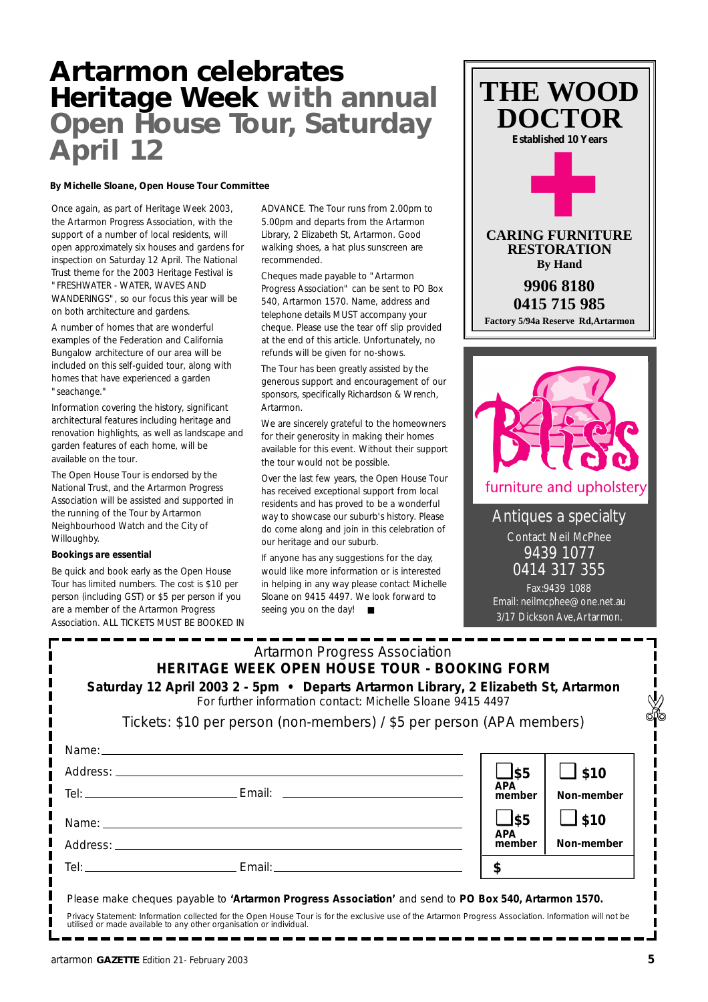## **Artarmon celebrates Heritage Week with annual Open House Tour, Saturday April 12**

#### **By Michelle Sloane, Open House Tour Committee**

Once again, as part of Heritage Week 2003, the Artarmon Progress Association, with the support of a number of local residents, will open approximately six houses and gardens for inspection on Saturday 12 April. The National Trust theme for the 2003 Heritage Festival is "FRESHWATER - WATER, WAVES AND WANDERINGS", so our focus this year will be on both architecture and gardens.

A number of homes that are wonderful examples of the Federation and California Bungalow architecture of our area will be included on this self-guided tour, along with homes that have experienced a garden "seachange."

Information covering the history, significant architectural features including heritage and renovation highlights, as well as landscape and garden features of each home, will be available on the tour.

The Open House Tour is endorsed by the National Trust, and the Artarmon Progress Association will be assisted and supported in the running of the Tour by Artarmon Neighbourhood Watch and the City of Willoughby.

#### **Bookings are essential**

Be quick and book early as the Open House Tour has limited numbers. The cost is \$10 per person (including GST) or \$5 per person if you are a member of the Artarmon Progress Association. ALL TICKETS MUST BE BOOKED IN ADVANCE. The Tour runs from 2.00pm to 5.00pm and departs from the Artarmon Library, 2 Elizabeth St, Artarmon. Good walking shoes, a hat plus sunscreen are recommended.

Cheques made payable to "Artarmon Progress Association" can be sent to PO Box 540, Artarmon 1570. Name, address and telephone details MUST accompany your cheque. Please use the tear off slip provided at the end of this article. Unfortunately, no refunds will be given for no-shows.

The Tour has been greatly assisted by the generous support and encouragement of our sponsors, specifically Richardson & Wrench, Artarmon.

We are sincerely grateful to the homeowners for their generosity in making their homes available for this event. Without their support the tour would not be possible.

Over the last few years, the Open House Tour has received exceptional support from local residents and has proved to be a wonderful way to showcase our suburb's history. Please do come along and join in this celebration of our heritage and our suburb.

If anyone has any suggestions for the day, would like more information or is interested in helping in any way please contact Michelle Sloane on 9415 4497. We look forward to seeing you on the day! ■





Antiques a specialty Contact Neil McPhee 9439 1077 0414 317 355

Fax:9439 1088 Email: neilmcphee@one.net.au 3/17 Dickson Ave,Artarmon.

|                                                                                                       | <b>Artarmon Progress Association</b><br>HERITAGE WEEK OPEN HOUSE TOUR - BOOKING FORM<br>Saturday 12 April 2003 2 - 5pm • Departs Artarmon Library, 2 Elizabeth St, Artarmon<br>For further information contact: Michelle Sloane 9415 4497 |  |                                                                             |                                                        |
|-------------------------------------------------------------------------------------------------------|-------------------------------------------------------------------------------------------------------------------------------------------------------------------------------------------------------------------------------------------|--|-----------------------------------------------------------------------------|--------------------------------------------------------|
|                                                                                                       | Tickets: \$10 per person (non-members) / \$5 per person (APA members)                                                                                                                                                                     |  |                                                                             |                                                        |
|                                                                                                       | Name: Name: 2008 and 2008 and 2008 and 2008 and 2008 and 2008 and 2008 and 2008 and 2008 and 2008 and 2008 and                                                                                                                            |  | $\Box$ \$5<br><b>APA</b><br>member<br>$\bigcup$ \$5<br><b>APA</b><br>member | $\Box$ \$10<br>Non-member<br>$\Box$ \$10<br>Non-member |
|                                                                                                       | Tel: Email: Email: Email: Email: Proposal experience of the Email: Proposal experience of the Email: Proposal experience of the Email: Proposal experience of the Email: Proposal experience of the Email: Proposal experience            |  | \$                                                                          |                                                        |
| Please make cheques payable to 'Artarmon Progress Association' and send to PO Box 540, Artarmon 1570. |                                                                                                                                                                                                                                           |  |                                                                             |                                                        |

*Privacy Statement: Information collected for the Open House Tour is for the exclusive use of the Artarmon Progress Association. Information will not be utilised or made available to any other organisation or individual.*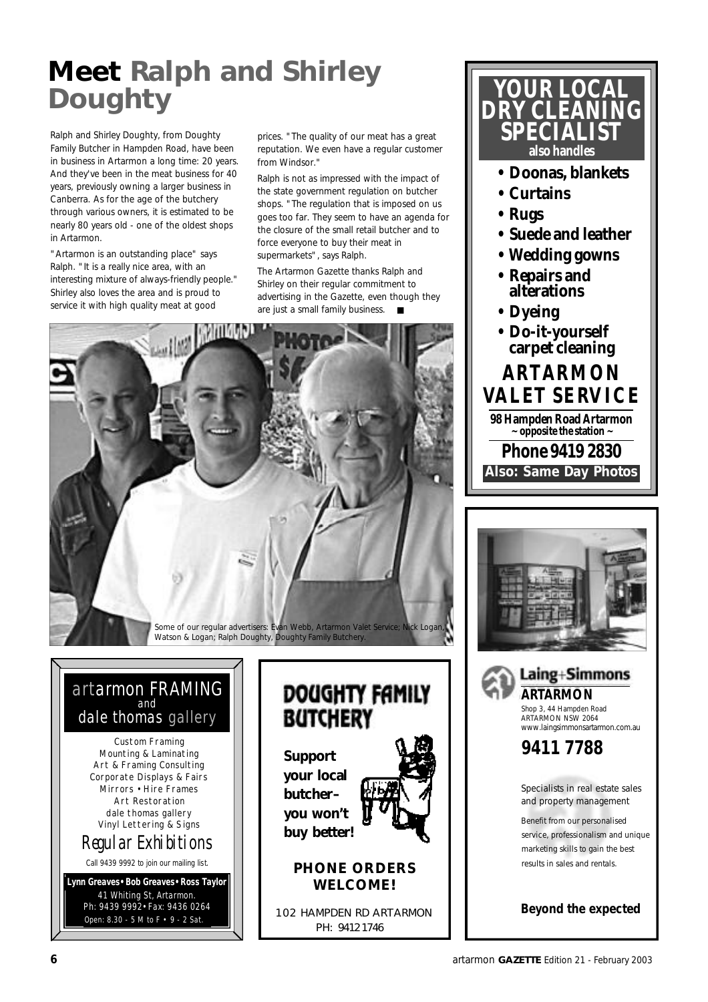# **Meet Ralph and Shirley Doughty**

Ralph and Shirley Doughty, from Doughty Family Butcher in Hampden Road, have been in business in Artarmon a long time: 20 years. And they've been in the meat business for 40 years, previously owning a larger business in Canberra. As for the age of the butchery through various owners, it is estimated to be nearly 80 years old - one of the oldest shops in Artarmon.

"Artarmon is an outstanding place" says Ralph. "It is a really nice area, with an interesting mixture of always-friendly people." Shirley also loves the area and is proud to service it with high quality meat at good

prices. "The quality of our meat has a great reputation. We even have a regular customer from Windsor."

Ralph is not as impressed with the impact of the state government regulation on butcher shops. "The regulation that is imposed on us goes too far. They seem to have an agenda for the closure of the small retail butcher and to force everyone to buy their meat in supermarkets", says Ralph.

The Artarmon Gazette thanks Ralph and Shirley on their regular commitment to advertising in the Gazette, even though they are just a small family business. ■



### artarmon FRAMING and dale thomas gallery

Custom Framing Mounting & Laminating Art & Framing Consulting Corporate Displays & Fairs Mirrors • Hire Frames Art Restoration dale thomas gallery Vinyl Lettering & Signs Regular Exhibitions

Call 9439 9992 to join our mailing list.

Open: 8.30 - 5 M to F • 9 - 2 Sat. **Lynn Greaves•Bob Greaves•Ross Taylor** 41 Whiting St, Artarmon. Ph: 9439 9992•Fax: 9436 0264



**your local butcher– you won't buy better!**



### **PHONE ORDERS WELCOME!**

102 HAMPDEN RD ARTARMON PH: 9412 1746



- **Rugs**
- **Suede and leather**
- **Wedding gowns**
- **Repairs and alterations**
- **Dyeing**
- **A RTA R M O N VA L ET S E RV I C E Phone 9419 2830 98 Hampden Road Artarmon ~ opposite the station ~ • Do-it-yourself carpet cleaning Also: Same Day Photos**





ARTARMON NSW 2064 www.laingsimmonsartarmon.com.au

Specialists in real estate sales and property management

Benefit from our personalised service, professionalism and unique marketing skills to gain the best results in sales and rentals.

*Beyond the expected*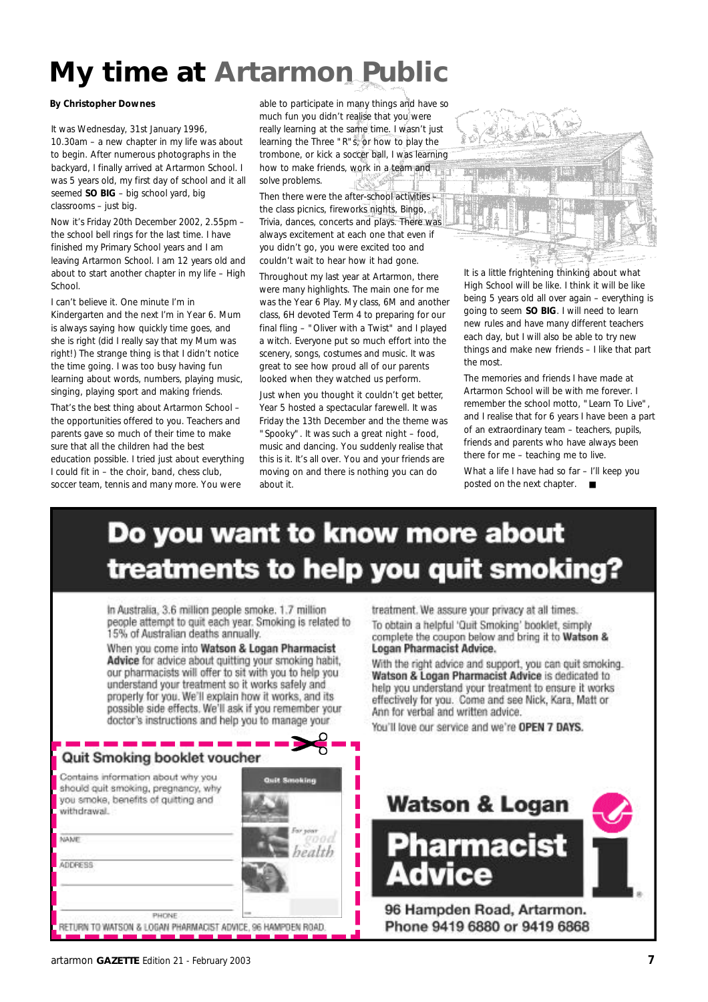# **My time at Artarmon Public**

#### **By Christopher Downes**

It was Wednesday, 31st January 1996, 10.30am – a new chapter in my life was about to begin. After numerous photographs in the backyard, I finally arrived at Artarmon School. I was 5 years old, my first day of school and it all seemed **SO BIG** – big school yard, big classrooms – just big.

Now it's Friday 20th December 2002, 2.55pm – the school bell rings for the last time. I have finished my Primary School years and I am leaving Artarmon School. I am 12 years old and about to start another chapter in my life – High School.

I can't believe it. One minute I'm in Kindergarten and the next I'm in Year 6. Mum is always saying how quickly time goes, and she is right (did I really say that my Mum was right!) The strange thing is that I didn't notice the time going. I was too busy having fun learning about words, numbers, playing music, singing, playing sport and making friends.

That's the best thing about Artarmon School – the opportunities offered to you. Teachers and parents gave so much of their time to make sure that all the children had the best education possible. I tried just about everything I could fit in – the choir, band, chess club, soccer team, tennis and many more. You were

able to participate in many things and have so much fun you didn't realise that you were really learning at the same time. I wasn't just learning the Three "R"s, or how to play the trombone, or kick a soccer ball, I was learning how to make friends, work in a team and solve problems.

Then there were the after-school activities the class picnics, fireworks nights, Bingo, and Trivia, dances, concerts and plays. There was always excitement at each one that even if you didn't go, you were excited too and couldn't wait to hear how it had gone.

Throughout my last year at Artarmon, there were many highlights. The main one for me was the Year 6 Play. My class, 6M and another class, 6H devoted Term 4 to preparing for our final fling – "Oliver with a Twist" and I played a witch. Everyone put so much effort into the scenery, songs, costumes and music. It was great to see how proud all of our parents looked when they watched us perform.

Just when you thought it couldn't get better, Year 5 hosted a spectacular farewell. It was Friday the 13th December and the theme was "Spooky". It was such a great night – food, music and dancing. You suddenly realise that this is it. It's all over. You and your friends are moving on and there is nothing you can do about it.



It is a little frightening thinking about what High School will be like. I think it will be like being 5 years old all over again – everything is going to seem **SO BIG**. I will need to learn new rules and have many different teachers each day, but I will also be able to try new things and make new friends – I like that part the most.

The memories and friends I have made at Artarmon School will be with me forever. I remember the school motto, "Learn To Live", and I realise that for 6 years I have been a part of an extraordinary team – teachers, pupils, friends and parents who have always been there for me – teaching me to live. What a life I have had so far - I'll keep you posted on the next chapter. ■

# Do you want to know more about treatments to help you quit smoking?

ി

In Australia, 3.6 million people smoke, 1.7 million people attempt to quit each year. Smoking is related to 15% of Australian deaths annually.

When you come into Watson & Logan Pharmacist Advice for advice about quitting your smoking habit, our pharmacists will offer to sit with you to help you understand your treatment so it works safely and properly for you. We'll explain how it works, and its possible side effects. We'll ask if you remember your doctor's instructions and help you to manage your

| Quit Smoking booklet voucher<br>Contains information about why you                        | Quit Smoking |
|-------------------------------------------------------------------------------------------|--------------|
| should quit smoking, pregnancy, why<br>you smoke, benefits of guitting and<br>withdrawal. |              |
| NAME                                                                                      | $b$ andola   |
| <b>ADDRESS</b>                                                                            |              |

PHONE RETURN TO WATSON & LOGAN PHARMACIST ADVICE, 96 HAMPDEN ROAD treatment. We assure your privacy at all times. To obtain a helpful 'Quit Smoking' booklet, simply complete the coupon below and bring it to Watson &

**Logan Pharmacist Advice.** 

With the right advice and support, you can quit smoking. Watson & Logan Pharmacist Advice is dedicated to help you understand your treatment to ensure it works effectively for you. Come and see Nick, Kara, Matt or Ann for verbal and written advice.

You'll love our service and we're OPEN 7 DAYS.

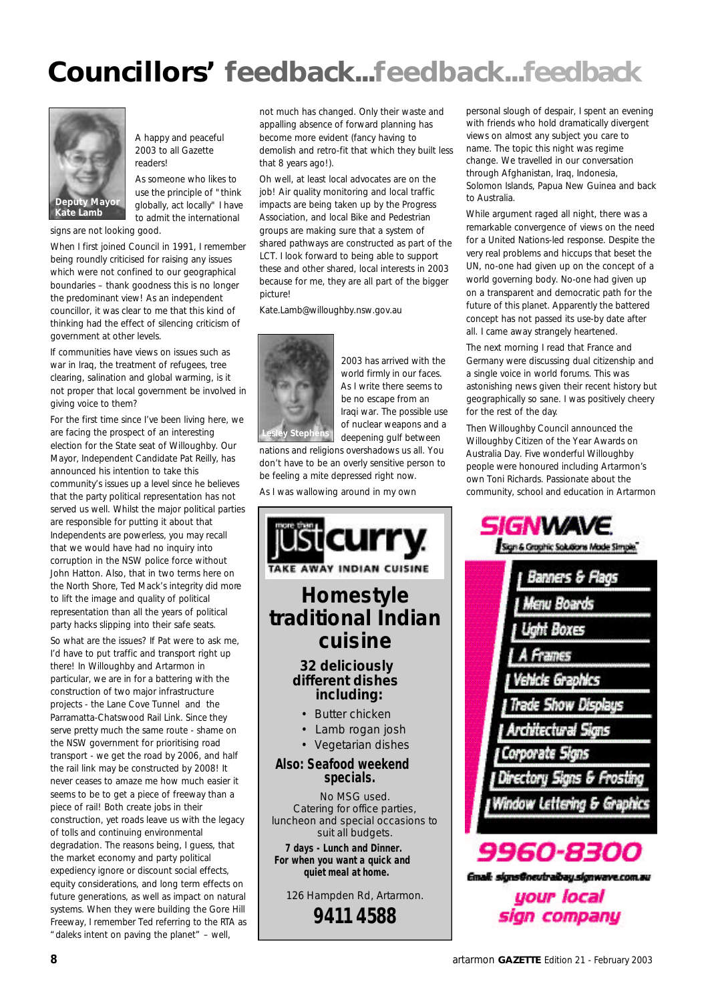# **Councillors' feedback...feedback...feedback**



A happy and peaceful 2003 to all Gazette readers!

As someone who likes to use the principle of "think globally, act locally" I have to admit the international

signs are not looking good.

When I first joined Council in 1991, I remember being roundly criticised for raising any issues which were not confined to our geographical boundaries – thank goodness this is no longer the predominant view! As an independent councillor, it was clear to me that this kind of thinking had the effect of silencing criticism of government at other levels.

If communities have views on issues such as war in Iraq, the treatment of refugees, tree clearing, salination and global warming, is it not proper that local government be involved in giving voice to them?

For the first time since I've been living here, we are facing the prospect of an interesting election for the State seat of Willoughby. Our Mayor, Independent Candidate Pat Reilly, has announced his intention to take this community's issues up a level since he believes that the party political representation has not served us well. Whilst the major political parties are responsible for putting it about that Independents are powerless, you may recall that we would have had no inquiry into corruption in the NSW police force without John Hatton. Also, that in two terms here on the North Shore, Ted Mack's integrity did more to lift the image and quality of political representation than all the years of political party hacks slipping into their safe seats.

So what are the issues? If Pat were to ask me, I'd have to put traffic and transport right up there! In Willoughby and Artarmon in particular, we are in for a battering with the construction of two major infrastructure projects - the Lane Cove Tunnel and the Parramatta-Chatswood Rail Link. Since they serve pretty much the same route - shame on the NSW government for prioritising road transport - we get the road by 2006, and half the rail link may be constructed by 2008! It never ceases to amaze me how much easier it seems to be to get a piece of freeway than a piece of rail! Both create jobs in their construction, yet roads leave us with the legacy of tolls and continuing environmental degradation. The reasons being, I guess, that the market economy and party political expediency ignore or discount social effects, equity considerations, and long term effects on future generations, as well as impact on natural systems. When they were building the Gore Hill Freeway, I remember Ted referring to the RTA as "daleks intent on paving the planet" – well,

not much has changed. Only their waste and appalling absence of forward planning has become more evident (fancy having to demolish and retro-fit that which they built less that 8 years ago!).

Oh well, at least local advocates are on the job! Air quality monitoring and local traffic impacts are being taken up by the Progress Association, and local Bike and Pedestrian groups are making sure that a system of shared pathways are constructed as part of the LCT. I look forward to being able to support these and other shared, local interests in 2003 because for me, they are all part of the bigger picture!

Kate.Lamb@willoughby.nsw.gov.au



2003 has arrived with the world firmly in our faces. As I write there seems to be no escape from an Iraqi war. The possible use of nuclear weapons and a

deepening gulf between nations and religions overshadows us all. You don't have to be an overly sensitive person to be feeling a mite depressed right now.

As I was wallowing around in my own



personal slough of despair, I spent an evening with friends who hold dramatically divergent views on almost any subject you care to name. The topic this night was regime change. We travelled in our conversation through Afghanistan, Iraq, Indonesia, Solomon Islands, Papua New Guinea and back to Australia.

While argument raged all night, there was a remarkable convergence of views on the need for a United Nations-led response. Despite the very real problems and hiccups that beset the UN, no-one had given up on the concept of a world governing body. No-one had given up on a transparent and democratic path for the future of this planet. Apparently the battered concept has not passed its use-by date after all. I came away strangely heartened.

The next morning I read that France and Germany were discussing dual citizenship and a single voice in world forums. This was astonishing news given their recent history but geographically so sane. I was positively cheery for the rest of the day.

Then Willoughby Council announced the Willoughby Citizen of the Year Awards on Australia Day. Five wonderful Willoughby people were honoured including Artarmon's own Toni Richards. Passionate about the community, school and education in Artarmon

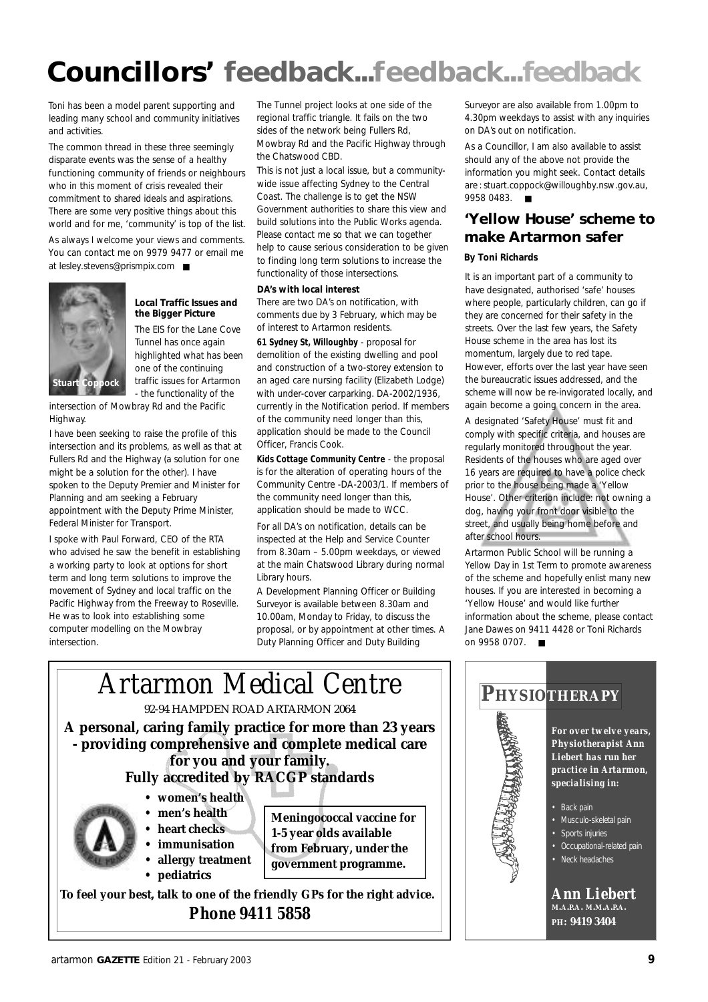# **Councillors' feedback...feedback...feedback**

Toni has been a model parent supporting and leading many school and community initiatives and activities.

The common thread in these three seemingly disparate events was the sense of a healthy functioning community of friends or neighbours who in this moment of crisis revealed their commitment to shared ideals and aspirations. There are some very positive things about this world and for me, 'community' is top of the list.

As always I welcome your views and comments. You can contact me on 9979 9477 or email me at lesley.stevens@prismpix.com ■



#### **Local Traffic Issues and the Bigger Picture**

The EIS for the Lane Cove Tunnel has once again highlighted what has been one of the continuing traffic issues for Artarmon - the functionality of the

intersection of Mowbray Rd and the Pacific Highway.

I have been seeking to raise the profile of this intersection and its problems, as well as that at Fullers Rd and the Highway (a solution for one might be a solution for the other). I have spoken to the Deputy Premier and Minister for Planning and am seeking a February appointment with the Deputy Prime Minister, Federal Minister for Transport.

I spoke with Paul Forward, CEO of the RTA who advised he saw the benefit in establishing a working party to look at options for short term and long term solutions to improve the movement of Sydney and local traffic on the Pacific Highway from the Freeway to Roseville. He was to look into establishing some computer modelling on the Mowbray intersection.

The Tunnel project looks at one side of the regional traffic triangle. It fails on the two sides of the network being Fullers Rd, Mowbray Rd and the Pacific Highway through the Chatswood CBD.

This is not just a local issue, but a communitywide issue affecting Sydney to the Central Coast. The challenge is to get the NSW Government authorities to share this view and build solutions into the Public Works agenda. Please contact me so that we can together help to cause serious consideration to be given to finding long term solutions to increase the functionality of those intersections.

#### **DA's with local interest**

There are two DA's on notification, with comments due by 3 February, which may be of interest to Artarmon residents.

**61 Sydney St, Willoughby** - proposal for demolition of the existing dwelling and pool and construction of a two-storey extension to an aged care nursing facility (Elizabeth Lodge) with under-cover carparking. DA-2002/1936, currently in the Notification period. If members of the community need longer than this, application should be made to the Council Officer, Francis Cook.

**Kids Cottage Community Centre** - the proposal is for the alteration of operating hours of the Community Centre -DA-2003/1. If members of the community need longer than this, application should be made to WCC.

For all DA's on notification, details can be inspected at the Help and Service Counter from 8.30am – 5.00pm weekdays, or viewed at the main Chatswood Library during normal Library hours.

A Development Planning Officer or Building Surveyor is available between 8.30am and 10.00am, Monday to Friday, to discuss the proposal, or by appointment at other times. A Duty Planning Officer and Duty Building

Surveyor are also available from 1.00pm to 4.30pm weekdays to assist with any inquiries on DA's out on notification.

As a Councillor, I am also available to assist should any of the above not provide the information you might seek. Contact details are : stuart.coppock@willoughby.nsw.gov.au, 9958 0483. ■

### **'Yellow House' scheme to make Artarmon safer**

#### **By Toni Richards**

It is an important part of a community to have designated, authorised 'safe' houses where people, particularly children, can go if they are concerned for their safety in the streets. Over the last few years, the Safety House scheme in the area has lost its momentum, largely due to red tape. However, efforts over the last year have seen the bureaucratic issues addressed, and the scheme will now be re-invigorated locally, and again become a going concern in the area.

A designated 'Safety House' must fit and comply with specific criteria, and houses are regularly monitored throughout the year. Residents of the houses who are aged over 16 years are required to have a police check prior to the house being made a 'Yellow House'. Other criterion include: not owning a dog, having your front door visible to the street, and usually being home before and after school hours.

Artarmon Public School will be running a Yellow Day in 1st Term to promote awareness of the scheme and hopefully enlist many new houses. If you are interested in becoming a 'Yellow House' and would like further information about the scheme, please contact Jane Dawes on 9411 4428 or Toni Richards on 9958 0707. ■



*Phone 9411 5858*

### **PH Y SIOT H E R A P Y**

*For over twelve years, Physiotherapist Ann Liebert has run her practice in Artarmon, specialising in:*

- Back pain
- Musculo-skeletal pain
- Sports injuries
	- Occupational-related pain
	- Neck headaches

*Ann Liebert* **M.A.P.A. M.M.A.P.A. P H: 9419 3404**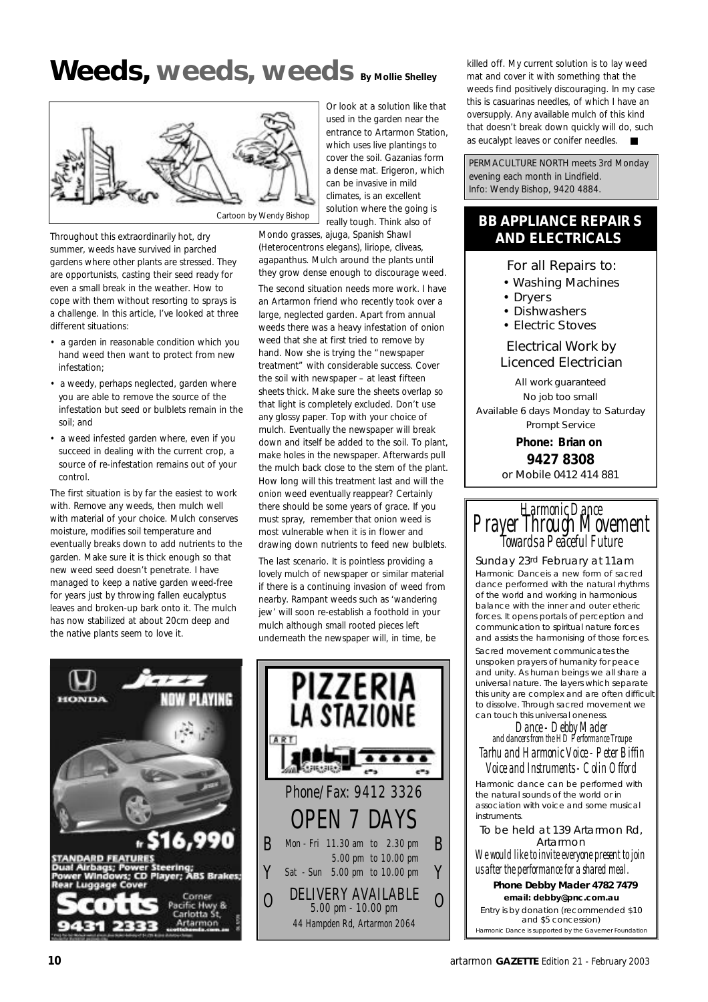# **Weeds, weeds, weeds By Mollie Shelley**



Throughout this extraordinarily hot, dry summer, weeds have survived in parched gardens where other plants are stressed. They are opportunists, casting their seed ready for even a small break in the weather. How to cope with them without resorting to sprays is a challenge. In this article, I've looked at three different situations:

- a garden in reasonable condition which you hand weed then want to protect from new infestation;
- a weedy, perhaps neglected, garden where you are able to remove the source of the infestation but seed or bulblets remain in the soil; and
- a weed infested garden where, even if you succeed in dealing with the current crop, a source of re-infestation remains out of your control.

The first situation is by far the easiest to work with. Remove any weeds, then mulch well with material of your choice. Mulch conserves moisture, modifies soil temperature and eventually breaks down to add nutrients to the garden. Make sure it is thick enough so that new weed seed doesn't penetrate. I have managed to keep a native garden weed-free for years just by throwing fallen eucalyptus leaves and broken-up bark onto it. The mulch has now stabilized at about 20cm deep and the native plants seem to love it.

Or look at a solution like that used in the garden near the entrance to Artarmon Station, which uses live plantings to cover the soil. Gazanias form a dense mat. Erigeron, which can be invasive in mild climates, is an excellent solution where the going is really tough. Think also of

Mondo grasses, ajuga, Spanish Shawl (Heterocentrons elegans), liriope, cliveas, agapanthus. Mulch around the plants until they grow dense enough to discourage weed. The second situation needs more work. I have an Artarmon friend who recently took over a large, neglected garden. Apart from annual weeds there was a heavy infestation of onion weed that she at first tried to remove by hand. Now she is trying the "newspaper treatment" with considerable success. Cover the soil with newspaper – at least fifteen sheets thick. Make sure the sheets overlap so that light is completely excluded. Don't use any glossy paper. Top with your choice of mulch. Eventually the newspaper will break down and itself be added to the soil. To plant, make holes in the newspaper. Afterwards pull the mulch back close to the stem of the plant. How long will this treatment last and will the onion weed eventually reappear? Certainly there should be some years of grace. If you must spray, remember that onion weed is most vulnerable when it is in flower and drawing down nutrients to feed new bulblets.

The last scenario. It is pointless providing a lovely mulch of newspaper or similar material if there is a continuing invasion of weed from nearby. Rampant weeds such as 'wandering jew' will soon re-establish a foothold in your mulch although small rooted pieces left underneath the newspaper will, in time, be





killed off. My current solution is to lay weed mat and cover it with something that the weeds find positively discouraging. In my case this is casuarinas needles, of which I have an oversupply. Any available mulch of this kind that doesn't break down quickly will do, such as eucalypt leaves or conifer needles. ■

PERMACULTURE NORTH meets 3rd Monday evening each month in Lindfield. Info: Wendy Bishop, 9420 4884.

### **BB APPLIANCE REPAIR S AND ELECTRICALS**

For all Repairs to:

- Washing Machines
- Dryers
- Dishwashers
- Electric Stoves

Electrical Work by Licenced Electrician

*All work guaranteed No job too small Available 6 days Monday to Saturday Prompt Service*

> **Phone: Brian on 9427 8308**

or Mobile 0412 414 881



#### Sunday 23rd February at 11am

Harmonic Danceis a new form of sacred dance performed with the natural rhythms of the world and working in harmonious balance with the inner and outer etheric forces. It opens portals of perception and communication to spiritual nature forces and assists the harmonising of those forces. Sacred movement communicates the unspoken prayers of humanity for peace and unity. As human beings we all share a universal nature. The layers which separate this unity are complex and are often difficult to dissolve. Through sacred movement we can touch this universal oneness.

Dance - Debby Mader and dancers from the HD Performance Troupe Tarhu and Harmonic Voice - Peter Biffin

Voice and Instruments - Colin Offord Harmonic dance can be performed with the natural sounds of the world or in association with voice and some musical instruments.

#### To be held at 139 Artarmon Rd, Artarmon

We would like to invite everyone present to join us after the performance for a shared meal.

**Phone Debby Mader 4782 7479 email: debby@pnc.com.au** Entry is by donation (recommended \$10 and \$5 concession) Harmonic Dance is supported by the Gavemer Foundation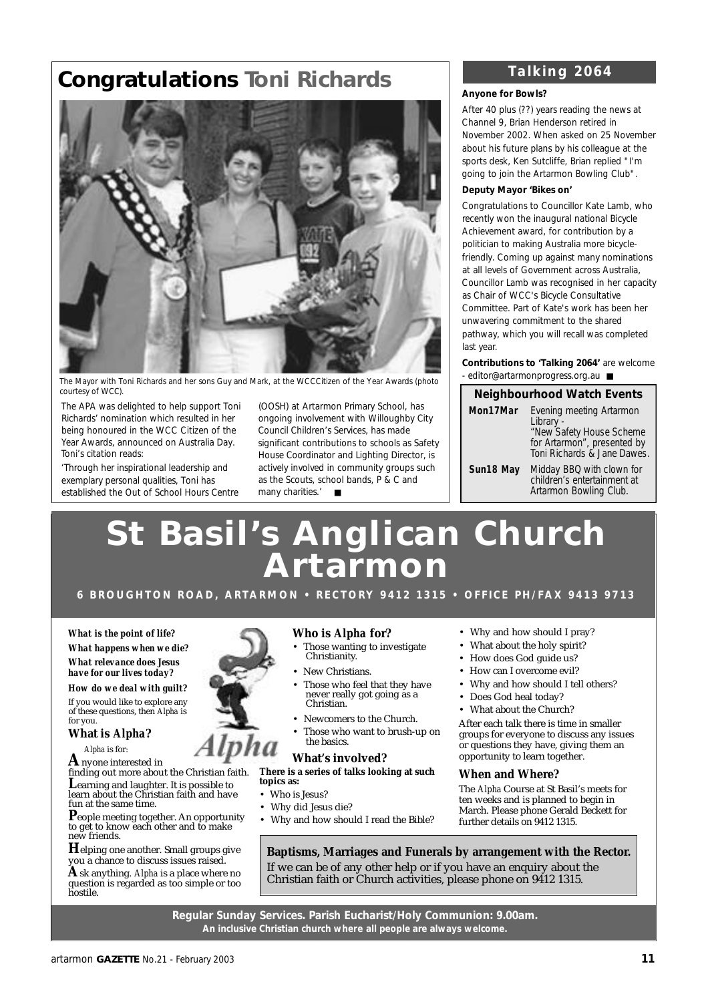## **Congratulations Toni Richards**



The Mayor with Toni Richards and her sons Guy and Mark, at the WCCCitizen of the Year Awards (*photo courtesy of WCC).* **Neighbourhood Watch Events**

The APA was delighted to help support Toni Richards' nomination which resulted in her being honoured in the WCC Citizen of the Year Awards, announced on Australia Day. Toni's citation reads:

*'Through her inspirational leadership and exemplary personal qualities, Toni has established the Out of School Hours Centre*

*(OOSH) at Artarmon Primary School, has ongoing involvement with Willoughby City Council Children's Services, has made significant contributions to schools as Safety House Coordinator and Lighting Director, is actively involved in community groups such as the Scouts, school bands, P & C and many charities.'* ■

### *Talking 2064*

#### **Anyone for Bowls?**

After 40 plus (??) years reading the news at Channel 9, Brian Henderson retired in November 2002. When asked on 25 November about his future plans by his colleague at the sports desk, Ken Sutcliffe, Brian replied "I'm going to join the Artarmon Bowling Club".

#### **Deputy Mayor 'Bikes on'**

Congratulations to Councillor Kate Lamb, who recently won the inaugural national Bicycle Achievement award, for contribution by a politician to making Australia more bicyclefriendly. Coming up against many nominations at all levels of Government across Australia, Councillor Lamb was recognised in her capacity as Chair of WCC's Bicycle Consultative Committee. Part of Kate's work has been her unwavering commitment to the shared pathway, which you will recall was completed last year.

**Contributions to 'Talking 2064'** are welcome - editor@artarmonprogress.org.au ■

| <b>Neighbourhood Watch Events</b> |                                                                                                                                 |  |  |
|-----------------------------------|---------------------------------------------------------------------------------------------------------------------------------|--|--|
| Mon17Mar                          | Evening meeting Artarmon<br>Library -<br>"New Safety House Scheme<br>for Artarmon", presented by<br>Toni Richards & Jane Dawes. |  |  |
| Sun18 May                         | Midday BBQ with clown for<br>children's entertainment at<br>Artarmon Bowling Club.                                              |  |  |

# **St Basil's Anglican Church A r t a r m o n**

6 BROUGHTON ROAD, ARTARMON • RECTORY 9412 1315 • OFFICE PH/FAX 9413 9713

*What is the point of life? What happens when we die? What relevance does Jesus have for our lives today?*

*How do we deal with guilt?* If you would like to explore any of these questions, then *Alpha* is for you.

**What is** *Alpha***?**

*Alpha* is for:

**A**nyone interested in finding out more about the Christian faith.

**L**earning and laughter. It is possible to learn about the Christian faith and have fun at the same time.

**P**eople meeting together. An opportunity to get to know each other and to make new friends.

**H**elping one another. Small groups give you a chance to discuss issues raised. **A**sk anything. *Alpha* is a place where no question is regarded as too simple or too hostile.

#### **Who is** *Alpha* **for?**

- Those wanting to investigate Christianity.
- New Christians.
- Those who feel that they have never really got going as a Christian.
- Newcomers to the Church.
- Those who want to brush-up on the basics.

#### **What's involved?**

**There is a series of talks looking at such topics as:**

- Who is Jesus?
- Why did Jesus die?
- Why and how should I read the Bible?
- Why and how should I pray?
- What about the holy spirit?
- How does God guide us?
- How can I overcome evil?
- Why and how should I tell others?
- Does God heal today?
- What about the Church?

After each talk there is time in smaller groups for everyone to discuss any issues or questions they have, giving them an opportunity to learn together.

#### **When and Where?**

The *Alpha* Course at St Basil's meets for ten weeks and is planned to begin in March. Please phone Gerald Beckett for further details on 9412 1315.

**Baptisms, Marriages and Funerals by arrangement with the Rector.** If we can be of any other help or if you have an enquiry about the Christian faith or Church activities, please phone on 9412 1315.

**Regular Sunday Services. Parish Eucharist/Holy Communion: 9.00am. An inclusive Christian church where all people are always welcome.**